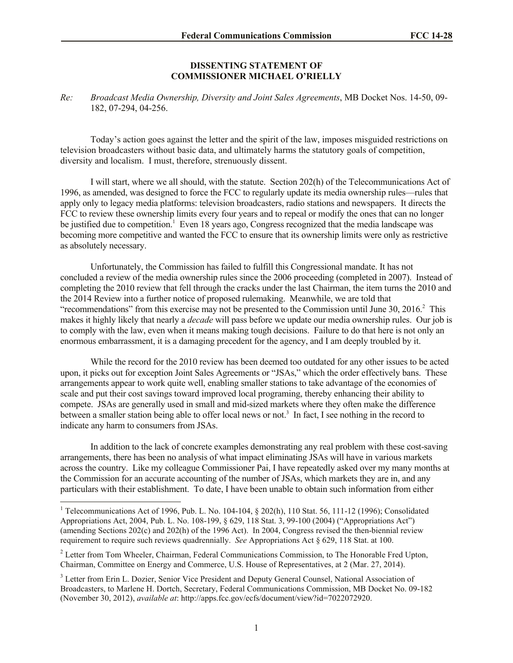## **DISSENTING STATEMENT OF COMMISSIONER MICHAEL O'RIELLY**

*Re: Broadcast Media Ownership, Diversity and Joint Sales Agreements*, MB Docket Nos. 14-50, 09- 182, 07-294, 04-256.

Today's action goes against the letter and the spirit of the law, imposes misguided restrictions on television broadcasters without basic data, and ultimately harms the statutory goals of competition, diversity and localism. I must, therefore, strenuously dissent.

I will start, where we all should, with the statute. Section 202(h) of the Telecommunications Act of 1996, as amended, was designed to force the FCC to regularly update its media ownership rules—rules that apply only to legacy media platforms: television broadcasters, radio stations and newspapers. It directs the FCC to review these ownership limits every four years and to repeal or modify the ones that can no longer be justified due to competition.<sup>1</sup> Even 18 years ago, Congress recognized that the media landscape was becoming more competitive and wanted the FCC to ensure that its ownership limits were only as restrictive as absolutely necessary.

Unfortunately, the Commission has failed to fulfill this Congressional mandate. It has not concluded a review of the media ownership rules since the 2006 proceeding (completed in 2007). Instead of completing the 2010 review that fell through the cracks under the last Chairman, the item turns the 2010 and the 2014 Review into a further notice of proposed rulemaking. Meanwhile, we are told that "recommendations" from this exercise may not be presented to the Commission until June  $30$ ,  $2016$ .<sup>2</sup> This makes it highly likely that nearly a *decade* will pass before we update our media ownership rules. Our job is to comply with the law, even when it means making tough decisions. Failure to do that here is not only an enormous embarrassment, it is a damaging precedent for the agency, and I am deeply troubled by it.

While the record for the 2010 review has been deemed too outdated for any other issues to be acted upon, it picks out for exception Joint Sales Agreements or "JSAs," which the order effectively bans. These arrangements appear to work quite well, enabling smaller stations to take advantage of the economies of scale and put their cost savings toward improved local programing, thereby enhancing their ability to compete. JSAs are generally used in small and mid-sized markets where they often make the difference between a smaller station being able to offer local news or not.<sup>3</sup> In fact, I see nothing in the record to indicate any harm to consumers from JSAs.

In addition to the lack of concrete examples demonstrating any real problem with these cost-saving arrangements, there has been no analysis of what impact eliminating JSAs will have in various markets across the country. Like my colleague Commissioner Pai, I have repeatedly asked over my many months at the Commission for an accurate accounting of the number of JSAs, which markets they are in, and any particulars with their establishment. To date, I have been unable to obtain such information from either

l

<sup>&</sup>lt;sup>1</sup> Telecommunications Act of 1996, Pub. L. No. 104-104,  $\S$  202(h), 110 Stat. 56, 111-12 (1996); Consolidated Appropriations Act, 2004, Pub. L. No. 108-199, § 629, 118 Stat. 3, 99-100 (2004) ("Appropriations Act") (amending Sections 202(c) and 202(h) of the 1996 Act). In 2004, Congress revised the then-biennial review requirement to require such reviews quadrennially. *See* Appropriations Act § 629, 118 Stat. at 100.

<sup>&</sup>lt;sup>2</sup> Letter from Tom Wheeler, Chairman, Federal Communications Commission, to The Honorable Fred Upton, Chairman, Committee on Energy and Commerce, U.S. House of Representatives, at 2 (Mar. 27, 2014).

<sup>&</sup>lt;sup>3</sup> Letter from Erin L. Dozier, Senior Vice President and Deputy General Counsel, National Association of Broadcasters, to Marlene H. Dortch, Secretary, Federal Communications Commission, MB Docket No. 09-182 (November 30, 2012), *available at*: http://apps.fcc.gov/ecfs/document/view?id=7022072920.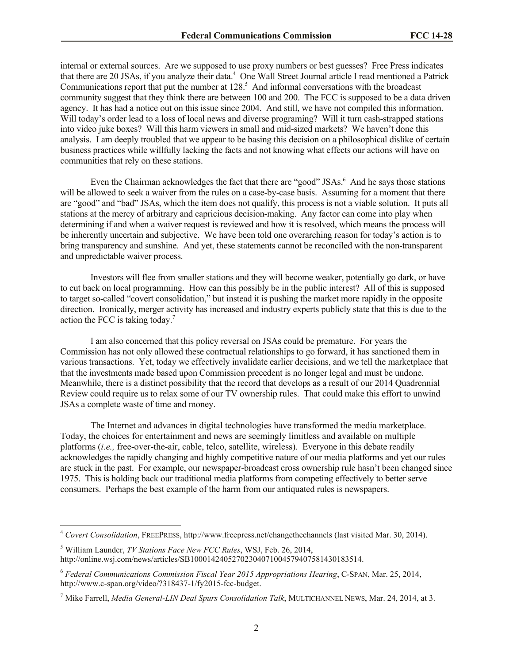internal or external sources. Are we supposed to use proxy numbers or best guesses? Free Press indicates that there are 20 JSAs, if you analyze their data.<sup>4</sup> One Wall Street Journal article I read mentioned a Patrick Communications report that put the number at  $128<sup>5</sup>$ . And informal conversations with the broadcast community suggest that they think there are between 100 and 200. The FCC is supposed to be a data driven agency. It has had a notice out on this issue since 2004. And still, we have not compiled this information. Will today's order lead to a loss of local news and diverse programing? Will it turn cash-strapped stations into video juke boxes? Will this harm viewers in small and mid-sized markets? We haven't done this analysis. I am deeply troubled that we appear to be basing this decision on a philosophical dislike of certain business practices while willfully lacking the facts and not knowing what effects our actions will have on communities that rely on these stations.

Even the Chairman acknowledges the fact that there are "good" JSAs.<sup>6</sup> And he says those stations will be allowed to seek a waiver from the rules on a case-by-case basis. Assuming for a moment that there are "good" and "bad" JSAs, which the item does not qualify, this process is not a viable solution. It puts all stations at the mercy of arbitrary and capricious decision-making. Any factor can come into play when determining if and when a waiver request is reviewed and how it is resolved, which means the process will be inherently uncertain and subjective. We have been told one overarching reason for today's action is to bring transparency and sunshine. And yet, these statements cannot be reconciled with the non-transparent and unpredictable waiver process.

Investors will flee from smaller stations and they will become weaker, potentially go dark, or have to cut back on local programming. How can this possibly be in the public interest? All of this is supposed to target so-called "covert consolidation," but instead it is pushing the market more rapidly in the opposite direction. Ironically, merger activity has increased and industry experts publicly state that this is due to the action the FCC is taking today. $7$ 

I am also concerned that this policy reversal on JSAs could be premature. For years the Commission has not only allowed these contractual relationships to go forward, it has sanctioned them in various transactions. Yet, today we effectively invalidate earlier decisions, and we tell the marketplace that that the investments made based upon Commission precedent is no longer legal and must be undone. Meanwhile, there is a distinct possibility that the record that develops as a result of our 2014 Quadrennial Review could require us to relax some of our TV ownership rules. That could make this effort to unwind JSAs a complete waste of time and money.

The Internet and advances in digital technologies have transformed the media marketplace. Today, the choices for entertainment and news are seemingly limitless and available on multiple platforms (*i.e.,* free-over-the-air, cable, telco, satellite, wireless). Everyone in this debate readily acknowledges the rapidly changing and highly competitive nature of our media platforms and yet our rules are stuck in the past. For example, our newspaper-broadcast cross ownership rule hasn't been changed since 1975. This is holding back our traditional media platforms from competing effectively to better serve consumers. Perhaps the best example of the harm from our antiquated rules is newspapers.

l

<sup>4</sup> *Covert Consolidation*, FREEPRESS, http://www.freepress.net/changethechannels (last visited Mar. 30, 2014).

<sup>5</sup> William Launder, *TV Stations Face New FCC Rules*, WSJ, Feb. 26, 2014, http://online.wsj.com/news/articles/SB10001424052702304071004579407581430183514.

<sup>6</sup> *Federal Communications Commission Fiscal Year 2015 Appropriations Hearing*, C-SPAN, Mar. 25, 2014, http://www.c-span.org/video/?318437-1/fy2015-fcc-budget.

<sup>7</sup> Mike Farrell, *Media General-LIN Deal Spurs Consolidation Talk*, MULTICHANNEL NEWS, Mar. 24, 2014, at 3.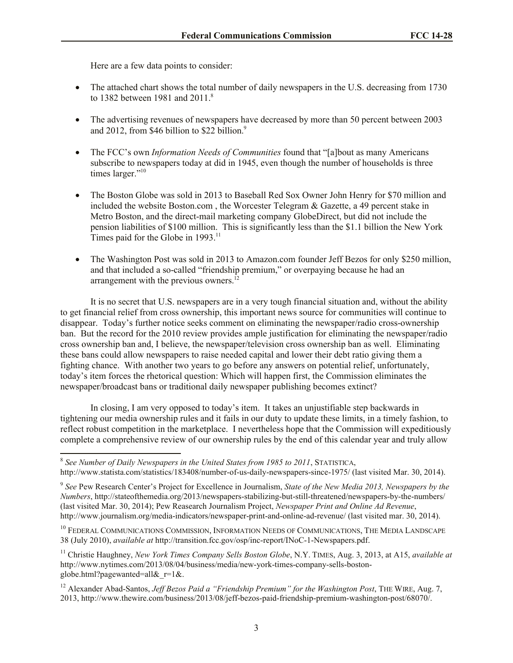Here are a few data points to consider:

- The attached chart shows the total number of daily newspapers in the U.S. decreasing from 1730 to 1382 between 1981 and 2011.<sup>8</sup>
- The advertising revenues of newspapers have decreased by more than 50 percent between 2003 and 2012, from \$46 billion to \$22 billion. $9$
- The FCC's own *Information Needs of Communities* found that "[a]bout as many Americans subscribe to newspapers today at did in 1945, even though the number of households is three times larger."<sup>10</sup>
- The Boston Globe was sold in 2013 to Baseball Red Sox Owner John Henry for \$70 million and included the website Boston.com, the Worcester Telegram  $\&$  Gazette, a 49 percent stake in Metro Boston, and the direct-mail marketing company GlobeDirect, but did not include the pension liabilities of \$100 million. This is significantly less than the \$1.1 billion the New York Times paid for the Globe in 1993.<sup>11</sup>
- The Washington Post was sold in 2013 to Amazon.com founder Jeff Bezos for only \$250 million, and that included a so-called "friendship premium," or overpaying because he had an arrangement with the previous owners.<sup>12</sup>

It is no secret that U.S. newspapers are in a very tough financial situation and, without the ability to get financial relief from cross ownership, this important news source for communities will continue to disappear. Today's further notice seeks comment on eliminating the newspaper/radio cross-ownership ban. But the record for the 2010 review provides ample justification for eliminating the newspaper/radio cross ownership ban and, I believe, the newspaper/television cross ownership ban as well. Eliminating these bans could allow newspapers to raise needed capital and lower their debt ratio giving them a fighting chance. With another two years to go before any answers on potential relief, unfortunately, today's item forces the rhetorical question: Which will happen first, the Commission eliminates the newspaper/broadcast bans or traditional daily newspaper publishing becomes extinct?

In closing, I am very opposed to today's item. It takes an unjustifiable step backwards in tightening our media ownership rules and it fails in our duty to update these limits, in a timely fashion, to reflect robust competition in the marketplace. I nevertheless hope that the Commission will expeditiously complete a comprehensive review of our ownership rules by the end of this calendar year and truly allow

 8 *See Number of Daily Newspapers in the United States from 1985 to 2011*, STATISTICA, http://www.statista.com/statistics/183408/number-of-us-daily-newspapers-since-1975/ (last visited Mar. 30, 2014).

<sup>9</sup> *See* Pew Research Center's Project for Excellence in Journalism, *State of the New Media 2013, Newspapers by the Numbers*, http://stateofthemedia.org/2013/newspapers-stabilizing-but-still-threatened/newspapers-by-the-numbers/ (last visited Mar. 30, 2014); Pew Reasearch Journalism Project, *Newspaper Print and Online Ad Revenue*, http://www.journalism.org/media-indicators/newspaper-print-and-online-ad-revenue/ (last visited mar. 30, 2014).

<sup>&</sup>lt;sup>10</sup> FEDERAL COMMUNICATIONS COMMISSION, INFORMATION NEEDS OF COMMUNICATIONS, THE MEDIA LANDSCAPE 38 (July 2010), *available at* http://transition.fcc.gov/osp/inc-report/INoC-1-Newspapers.pdf.

<sup>11</sup> Christie Haughney, *New York Times Company Sells Boston Globe*, N.Y. TIMES, Aug. 3, 2013, at A15, *available at* http://www.nytimes.com/2013/08/04/business/media/new-york-times-company-sells-bostonglobe.html?pagewanted=all&r=1&.

<sup>&</sup>lt;sup>12</sup> Alexander Abad-Santos, *Jeff Bezos Paid a "Friendship Premium" for the Washington Post*, THE WIRE, Aug. 7, 2013, http://www.thewire.com/business/2013/08/jeff-bezos-paid-friendship-premium-washington-post/68070/.